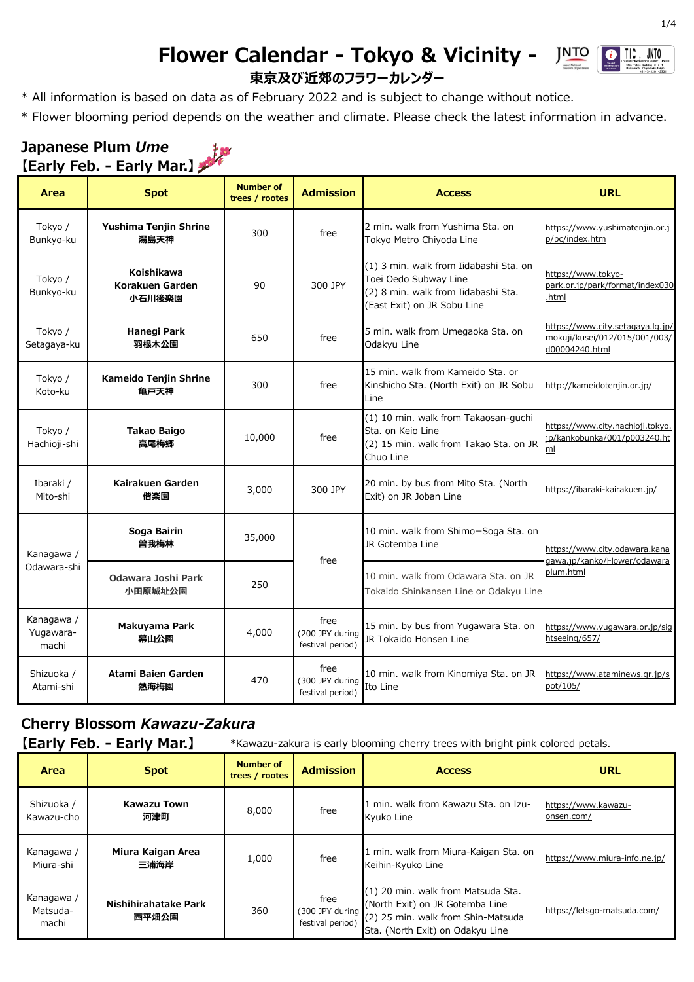#### **Flower Calendar - Tokyo & Vicinity - JNTO**  $\boxed{\bullet}$  TIC. **東京及び近郊のフラワーカレンダー**



\* Flower blooming period depends on the weather and climate. Please check the latest information in advance.

#### **Japanese Plum** *Ume* 核 **【Early Feb. - Early Mar.】**

| Area                             | <b>Spot</b>                             | <b>Number of</b><br>trees / rootes | <b>Admission</b>                            | <b>Access</b>                                                                                                                         | <b>URL</b>                                                                          |
|----------------------------------|-----------------------------------------|------------------------------------|---------------------------------------------|---------------------------------------------------------------------------------------------------------------------------------------|-------------------------------------------------------------------------------------|
| Tokyo /<br>Bunkyo-ku             | Yushima Tenjin Shrine<br>湯島天神           | 300                                | free                                        | 2 min. walk from Yushima Sta. on<br>Tokyo Metro Chiyoda Line                                                                          | https://www.yushimatenjin.or.j<br>p/pc/index.htm                                    |
| Tokyo /<br>Bunkyo-ku             | Koishikawa<br>Korakuen Garden<br>小石川後楽園 | 90                                 | 300 JPY                                     | (1) 3 min. walk from Iidabashi Sta. on<br>Toei Oedo Subway Line<br>(2) 8 min. walk from Iidabashi Sta.<br>(East Exit) on JR Sobu Line | https://www.tokyo-<br>park.or.jp/park/format/index030<br>.html                      |
| Tokyo /<br>Setagaya-ku           | Hanegi Park<br>羽根木公園                    | 650                                | free                                        | 5 min. walk from Umegaoka Sta. on<br>Odakyu Line                                                                                      | https://www.city.setagaya.lg.jp/<br>mokuji/kusei/012/015/001/003/<br>d00004240.html |
| Tokyo /<br>Koto-ku               | Kameido Tenjin Shrine<br>亀戸天神           | 300                                | free                                        | 15 min. walk from Kameido Sta. or<br>Kinshicho Sta. (North Exit) on JR Sobu<br>Line                                                   | http://kameidotenjin.or.jp/                                                         |
| Tokyo /<br>Hachioji-shi          | <b>Takao Baigo</b><br>高尾梅郷              | 10,000                             | free                                        | (1) 10 min. walk from Takaosan-guchi<br>Sta. on Keio Line<br>(2) 15 min. walk from Takao Sta. on JR<br>Chuo Line                      | https://www.city.hachioji.tokyo.<br>jp/kankobunka/001/p003240.ht<br>ml              |
| Ibaraki /<br>Mito-shi            | Kairakuen Garden<br>偕楽園                 | 3,000                              | 300 JPY                                     | 20 min. by bus from Mito Sta. (North<br>Exit) on JR Joban Line                                                                        | https://ibaraki-kairakuen.jp/                                                       |
| Kanagawa /                       | Soga Bairin<br>曽我梅林                     | 35,000                             | free                                        | 10 min. walk from Shimo-Soga Sta. on<br>JR Gotemba Line                                                                               | https://www.city.odawara.kana<br>gawa.jp/kanko/Flower/odawara                       |
| Odawara-shi                      | Odawara Joshi Park<br>小田原城址公園           | 250                                |                                             | 10 min. walk from Odawara Sta. on JR<br>Tokaido Shinkansen Line or Odakyu Line                                                        | plum.html                                                                           |
| Kanagawa /<br>Yugawara-<br>machi | Makuyama Park<br>幕山公園                   | 4,000                              | free<br>(200 JPY during<br>festival period) | 15 min. by bus from Yugawara Sta. on<br>JR Tokaido Honsen Line                                                                        | https://www.yugawara.or.jp/sig<br>htseeing/657/                                     |
| Shizuoka /<br>Atami-shi          | Atami Baien Garden<br>熱海梅園              | 470                                | free<br>(300 JPY during<br>festival period) | 10 min. walk from Kinomiya Sta. on JR<br>Ito Line                                                                                     | https://www.ataminews.gr.jp/s<br>pot/105/                                           |

## **Cherry Blossom** *Kawazu-Zakura*

| [Early Feb. - Early Mar.] | *Kawazu-zakura is early blooming cherry trees with bright pink colored petals. |
|---------------------------|--------------------------------------------------------------------------------|
|---------------------------|--------------------------------------------------------------------------------|

| <b>Area</b>                     | <b>Spot</b>                   | Number of<br>trees / rootes | <b>Admission</b>                            | <b>Access</b>                                                                                                                                   | <b>URL</b>                        |
|---------------------------------|-------------------------------|-----------------------------|---------------------------------------------|-------------------------------------------------------------------------------------------------------------------------------------------------|-----------------------------------|
| Shizuoka /<br>Kawazu-cho        | <b>Kawazu Town</b><br>河津町     | 8,000                       | free                                        | 1 min. walk from Kawazu Sta. on Izu-<br>Kyuko Line                                                                                              | https://www.kawazu-<br>onsen.com/ |
| Kanagawa /<br>Miura-shi         | Miura Kaigan Area<br>三浦海岸     | 1,000                       | free                                        | 1 min. walk from Miura-Kaigan Sta. on<br>Keihin-Kyuko Line                                                                                      | https://www.miura-info.ne.jp/     |
| Kanagawa /<br>Matsuda-<br>machi | Nishihirahatake Park<br>西平畑公園 | 360                         | free<br>(300 JPY during<br>festival period) | (1) 20 min. walk from Matsuda Sta.<br>(North Exit) on JR Gotemba Line<br>(2) 25 min. walk from Shin-Matsuda<br>Sta. (North Exit) on Odakyu Line | https://letsgo-matsuda.com/       |

**JNTO**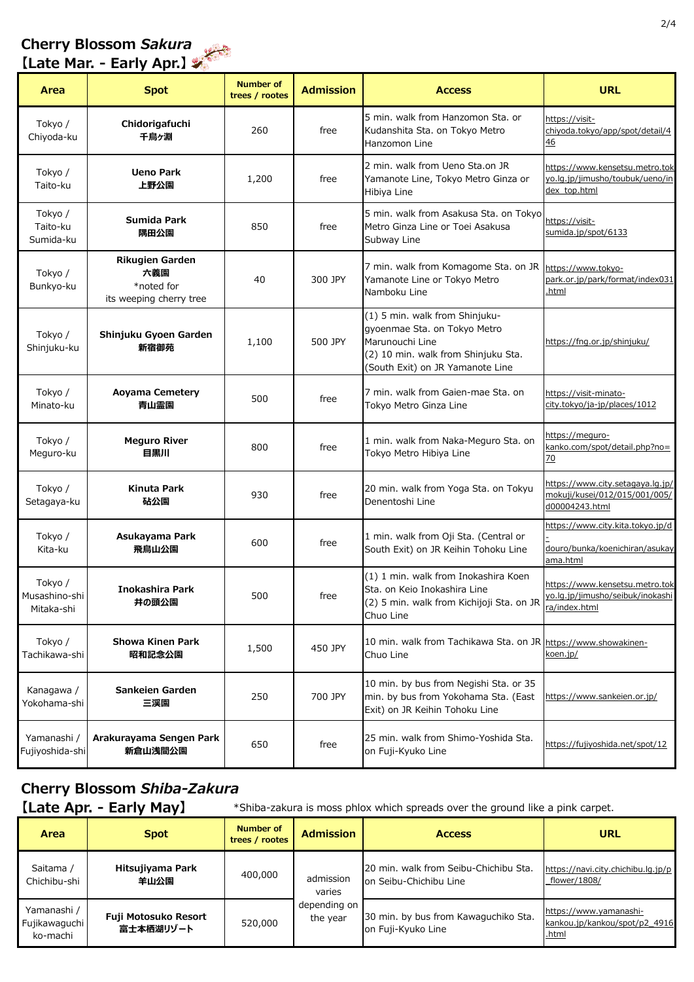#### **Cherry Blossom** *Sakura* يتبليط

## **【Late Mar. - Early Apr.】**

| Area                                   | <b>Spot</b>                                                            | <b>Number of</b><br>trees / rootes | <b>Admission</b> | <b>Access</b>                                                                                                                                                | <b>URL</b>                                                                                 |
|----------------------------------------|------------------------------------------------------------------------|------------------------------------|------------------|--------------------------------------------------------------------------------------------------------------------------------------------------------------|--------------------------------------------------------------------------------------------|
| Tokyo /<br>Chiyoda-ku                  | Chidorigafuchi<br>千鳥ヶ淵                                                 | 260                                | free             | 5 min. walk from Hanzomon Sta. or<br>Kudanshita Sta. on Tokyo Metro<br>Hanzomon Line                                                                         | https://visit-<br>chiyoda.tokyo/app/spot/detail/4<br>46                                    |
| Tokyo /<br>Taito-ku                    | <b>Ueno Park</b><br>上野公園                                               | 1,200                              | free             | 2 min. walk from Ueno Sta.on JR<br>Yamanote Line, Tokyo Metro Ginza or<br>Hibiya Line                                                                        | https://www.kensetsu.metro.tok<br>yo.lg.jp/jimusho/toubuk/ueno/in<br>dex_top.html          |
| Tokyo /<br>Taito-ku<br>Sumida-ku       | Sumida Park<br>隅田公園                                                    | 850                                | free             | 5 min. walk from Asakusa Sta. on Tokyo<br>Metro Ginza Line or Toei Asakusa<br>Subway Line                                                                    | https://visit-<br>sumida.jp/spot/6133                                                      |
| Tokyo /<br>Bunkyo-ku                   | <b>Rikugien Garden</b><br>六義園<br>*noted for<br>its weeping cherry tree | 40                                 | 300 JPY          | 7 min. walk from Komagome Sta. on JR<br>Yamanote Line or Tokyo Metro<br>Namboku Line                                                                         | https://www.tokyo-<br>park.or.jp/park/format/index031<br>.html                             |
| Tokyo /<br>Shinjuku-ku                 | Shinjuku Gyoen Garden<br>新宿御苑                                          | 1,100                              | 500 JPY          | (1) 5 min. walk from Shinjuku-<br>gyoenmae Sta. on Tokyo Metro<br>Marunouchi Line<br>(2) 10 min. walk from Shinjuku Sta.<br>(South Exit) on JR Yamanote Line | https://fng.or.jp/shinjuku/                                                                |
| Tokyo /<br>Minato-ku                   | <b>Aoyama Cemetery</b><br>青山霊園                                         | 500                                | free             | 7 min. walk from Gaien-mae Sta. on<br>Tokyo Metro Ginza Line                                                                                                 | https://visit-minato-<br>city.tokyo/ja-jp/places/1012                                      |
| Tokyo /<br>Meguro-ku                   | <b>Meguro River</b><br>目黒川                                             | 800                                | free             | 1 min. walk from Naka-Meguro Sta. on<br>Tokyo Metro Hibiya Line                                                                                              | https://meguro-<br>kanko.com/spot/detail.php?no=<br>70                                     |
| Tokyo /<br>Setagaya-ku                 | Kinuta Park<br>砧公園                                                     | 930                                | free             | 20 min. walk from Yoga Sta. on Tokyu<br>Denentoshi Line                                                                                                      | https://www.city.setagaya.lg.jp/<br>mokuji/kusei/012/015/001/005/<br>d00004243.html        |
| Tokyo /<br>Kita-ku                     | Asukayama Park<br>飛鳥山公園                                                | 600                                | free             | 1 min. walk from Oji Sta. (Central or<br>South Exit) on JR Keihin Tohoku Line                                                                                | https://www.city.kita.tokyo.jp/d<br>douro/bunka/koenichiran/asukay<br>ama.html             |
| Tokyo /<br>Musashino-shi<br>Mitaka-shi | Inokashira Park<br>井の頭公園                                               | 500                                | free             | (1) 1 min. walk from Inokashira Koen<br>Sta. on Keio Inokashira Line<br>(2) 5 min. walk from Kichijoji Sta. on JR<br>Chuo Line                               | https://www.kensetsu.metro.tok<br><u>yo.lg.jp/jimusho/seibuk/inokashi</u><br>ra/index.html |
| Tokyo /<br>Tachikawa-shi               | <b>Showa Kinen Park</b><br>昭和記念公園                                      | 1,500                              | 450 JPY          | 10 min. walk from Tachikawa Sta. on JR https://www.showakinen-<br>Chuo Line                                                                                  | koen.jp/                                                                                   |
| Kanagawa /<br>Yokohama-shi             | Sankeien Garden<br>三渓園                                                 | 250                                | 700 JPY          | 10 min. by bus from Negishi Sta. or 35<br>min. by bus from Yokohama Sta. (East<br>Exit) on JR Keihin Tohoku Line                                             | https://www.sankeien.or.jp/                                                                |
| Yamanashi /<br>Fujiyoshida-shi         | Arakurayama Sengen Park<br>新倉山浅間公園                                     | 650                                | free             | 25 min. walk from Shimo-Yoshida Sta.<br>on Fuji-Kyuko Line                                                                                                   | https://fujiyoshida.net/spot/12                                                            |

### **Cherry Blossom** *Shiba-Zakura*

**[Late Apr. - Early May]** \*Shiba-zakura is moss phlox which spreads over the ground like a pink carpet.

| Area                                     | <b>Spot</b>                       | Number of<br>trees / rootes | <b>Admission</b>         | <b>Access</b>                                                   | <b>URL</b>                                                       |
|------------------------------------------|-----------------------------------|-----------------------------|--------------------------|-----------------------------------------------------------------|------------------------------------------------------------------|
| Saitama /<br>Chichibu-shi                | Hitsujiyama Park<br>羊山公園          | 400,000                     | admission<br>varies      | 20 min. walk from Seibu-Chichibu Sta.<br>on Seibu-Chichibu Line | https://navi.city.chichibu.lg.jp/p<br>flower/1808/               |
| Yamanashi /<br>Fujikawaquchi<br>ko-machi | Fuji Motosuko Resort<br>富士本栖湖リゾート | 520,000                     | depending on<br>the year | 30 min. by bus from Kawaguchiko Sta.<br>on Fuji-Kyuko Line      | https://www.yamanashi-<br>kankou.jp/kankou/spot/p2_4916<br>.html |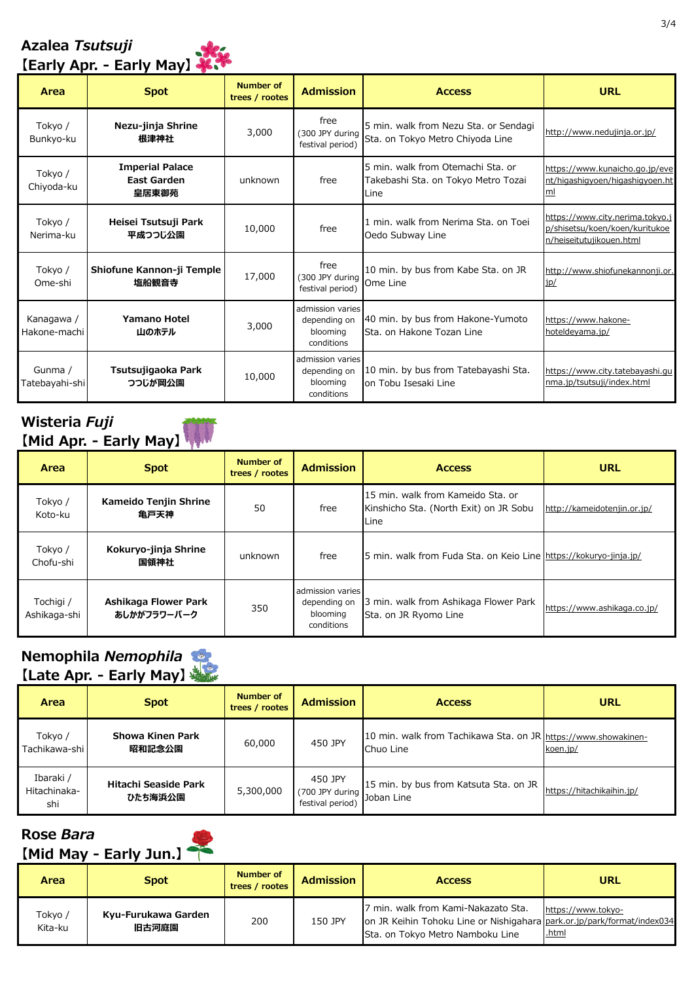### **Azalea** *Tsutsuji* **【Early Apr. - Early May】**



| Area                       | <b>Spot</b>                                           | <b>Number of</b><br>trees / rootes | <b>Admission</b>                                           | <b>Access</b>                                                                    | <b>URL</b>                                                                                    |
|----------------------------|-------------------------------------------------------|------------------------------------|------------------------------------------------------------|----------------------------------------------------------------------------------|-----------------------------------------------------------------------------------------------|
| Tokyo /<br>Bunkyo-ku       | Nezu-jinja Shrine<br>根津神社                             | 3,000                              | free<br>(300 JPY during<br>festival period)                | 5 min. walk from Nezu Sta. or Sendagi<br>Sta. on Tokyo Metro Chiyoda Line        | http://www.nedujinja.or.jp/                                                                   |
| Tokyo /<br>Chiyoda-ku      | <b>Imperial Palace</b><br><b>East Garden</b><br>皇居東御苑 | unknown                            | free                                                       | 5 min. walk from Otemachi Sta. or<br>Takebashi Sta. on Tokyo Metro Tozai<br>Line | https://www.kunaicho.go.jp/eve<br>nt/higashigyoen/higashigyoen.ht<br>ml                       |
| Tokyo /<br>Nerima-ku       | Heisei Tsutsuji Park<br>平成つつじ公園                       | 10,000                             | free                                                       | 1 min. walk from Nerima Sta. on Toei<br>Oedo Subway Line                         | https://www.city.nerima.tokyo.j<br>p/shisetsu/koen/koen/kuritukoe<br>n/heiseitutujikouen.html |
| Tokyo /<br>Ome-shi         | Shiofune Kannon-ji Temple<br>塩船観音寺                    | 17,000                             | free<br>(300 JPY during<br>festival period)                | 10 min. by bus from Kabe Sta. on JR<br>Ome Line                                  | http://www.shiofunekannonji.or.<br>jp/                                                        |
| Kanagawa /<br>Hakone-machi | <b>Yamano Hotel</b><br>山のホテル                          | 3,000                              | admission varies<br>depending on<br>blooming<br>conditions | 40 min. by bus from Hakone-Yumoto<br>Sta. on Hakone Tozan Line                   | https://www.hakone-<br>hoteldeyama.jp/                                                        |
| Gunma /<br>Tatebayahi-shi  | Tsutsujigaoka Park<br>つつじが岡公園                         | 10,000                             | admission varies<br>depending on<br>blooming<br>conditions | 10 min. by bus from Tatebayashi Sta.<br>on Tobu Isesaki Line                     | https://www.city.tatebayashi.gu<br>nma.jp/tsutsuji/index.html                                 |

### **Wisteria** *Fuji* **【Mid Apr. - Early May】**

|                           | <b>TMIC ADI. - EQITA MQAT ALI</b>   |                             |                                                            |                                                                                     |                             |
|---------------------------|-------------------------------------|-----------------------------|------------------------------------------------------------|-------------------------------------------------------------------------------------|-----------------------------|
| Area                      | <b>Spot</b>                         | Number of<br>trees / rootes | <b>Admission</b>                                           | <b>Access</b>                                                                       | <b>URL</b>                  |
| Tokyo /<br>Koto-ku        | Kameido Tenjin Shrine<br>亀戸天神       | 50                          | free                                                       | 15 min. walk from Kameido Sta. or<br>Kinshicho Sta. (North Exit) on JR Sobu<br>Line | http://kameidotenjin.or.jp/ |
| Tokyo /<br>Chofu-shi      | Kokuryo-jinja Shrine<br>国領神社        | unknown                     | free                                                       | 5 min. walk from Fuda Sta. on Keio Line https://kokuryo-jinja.jp/                   |                             |
| Tochigi /<br>Ashikaga-shi | Ashikaga Flower Park<br>あしかがフラワーパーク | 350                         | admission varies<br>depending on<br>blooming<br>conditions | 3 min. walk from Ashikaga Flower Park<br>Sta. on JR Ryomo Line                      | https://www.ashikaga.co.jp/ |

### **Nemophila** *Nemophila* **【Late Apr. - Early May】**

| .                                |                                 |                             |                                                           |                                                                             |                           |
|----------------------------------|---------------------------------|-----------------------------|-----------------------------------------------------------|-----------------------------------------------------------------------------|---------------------------|
| Area                             | <b>Spot</b>                     | Number of<br>trees / rootes | <b>Admission</b>                                          | <b>Access</b>                                                               | <b>URL</b>                |
| Tokyo /<br>Tachikawa-shi         | Showa Kinen Park<br>昭和記念公園      | 60,000                      | 450 JPY                                                   | 10 min. walk from Tachikawa Sta. on JR https://www.showakinen-<br>Chuo Line | koen.jp/                  |
| Ibaraki /<br>Hitachinaka-<br>shi | Hitachi Seaside Park<br>ひたち海浜公園 | 5,300,000                   | 450 JPY<br>(700 JPY during Joban Line<br>festival period) | 15 min. by bus from Katsuta Sta. on JR                                      | https://hitachikaihin.jp/ |

#### **Rose** *Bara* **【Mid May - Early Jun.】**

|                    | THIN MAY - CUITA JAILI       |                             |                  |                                                                                                                                                    |                                    |
|--------------------|------------------------------|-----------------------------|------------------|----------------------------------------------------------------------------------------------------------------------------------------------------|------------------------------------|
| Area               | <b>Spot</b>                  | Number of<br>trees / rootes | <b>Admission</b> | <b>Access</b>                                                                                                                                      | <b>URL</b>                         |
| Tokyo /<br>Kita-ku | Kyu-Furukawa Garden<br>旧古河庭園 | 200                         | 150 JPY          | 7 min. walk from Kami-Nakazato Sta.<br>on JR Keihin Tohoku Line or Nishigahara park.or.jp/park/format/index034<br>Sta. on Tokyo Metro Namboku Line | https://www.tokyo-<br><u>.html</u> |